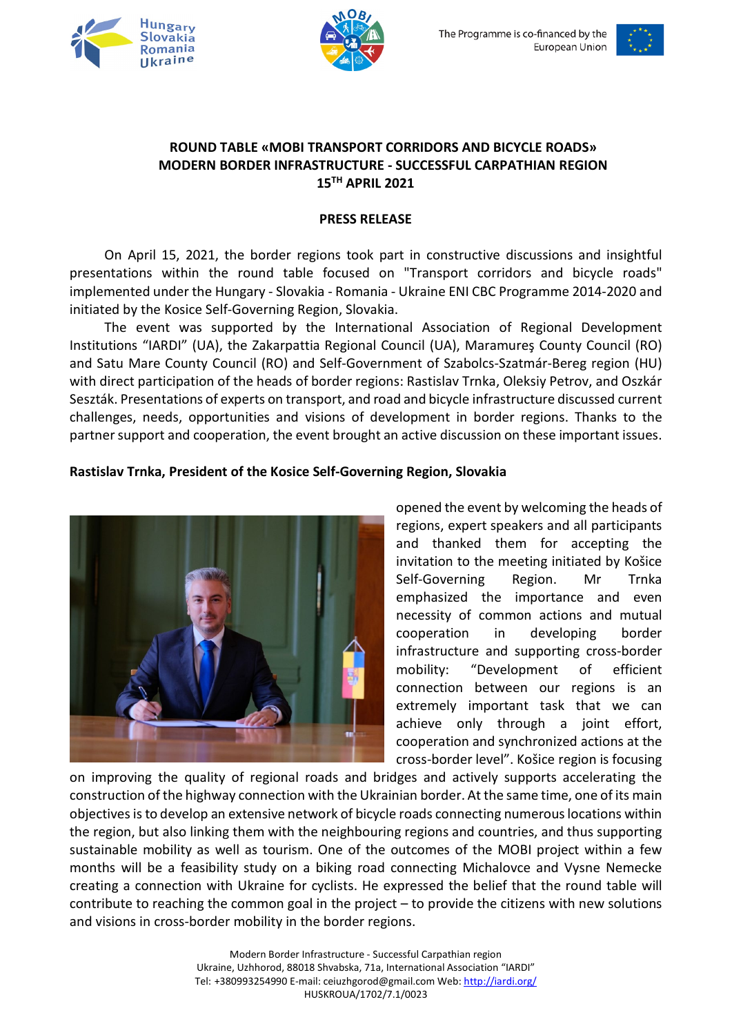





#### **ROUND TABLE «MOBI TRANSPORT CORRIDORS AND BICYCLE ROADS» MODERN BORDER INFRASTRUCTURE - SUCCESSFUL CARPATHIAN REGION 15TH APRIL 2021**

#### **PRESS RELEASE**

On April 15, 2021, the border regions took part in constructive discussions and insightful presentations within the round table focused on "Transport corridors and bicycle roads" implemented under the Hungary - Slovakia - Romania - Ukraine ENI CBC Programme 2014-2020 and initiated by the Kosice Self-Governing Region, Slovakia.

The event was supported by the International Association of Regional Development Institutions "IARDI" (UA), the Zakarpattia Regional Council (UA), Maramureş County Council (RO) and Satu Mare County Council (RO) and Self-Government of Szabolcs-Szatmár-Bereg region (HU) with direct participation of the heads of border regions: Rastislav Trnka, Oleksiy Petrov, and Oszkár Seszták. Presentations of experts on transport, and road and bicycle infrastructure discussed current challenges, needs, opportunities and visions of development in border regions. Thanks to the partner support and cooperation, the event brought an active discussion on these important issues.

#### **Rastislav Trnka, President of the Kosice Self-Governing Region, Slovakia**



opened the event by welcoming the heads of regions, expert speakers and all participants and thanked them for accepting the invitation to the meeting initiated by Košice Self-Governing Region. Mr Trnka emphasized the importance and even necessity of common actions and mutual cooperation in developing border infrastructure and supporting cross-border mobility: "Development of efficient connection between our regions is an extremely important task that we can achieve only through a joint effort, cooperation and synchronized actions at the cross-border level". Košice region is focusing

on improving the quality of regional roads and bridges and actively supports accelerating the construction of the highway connection with the Ukrainian border. At the same time, one of its main objectives is to develop an extensive network of bicycle roads connecting numerous locations within the region, but also linking them with the neighbouring regions and countries, and thus supporting sustainable mobility as well as tourism. One of the outcomes of the MOBI project within a few months will be a feasibility study on a biking road connecting Michalovce and Vysne Nemecke creating a connection with Ukraine for cyclists. He expressed the belief that the round table will contribute to reaching the common goal in the project – to provide the citizens with new solutions and visions in cross-border mobility in the border regions.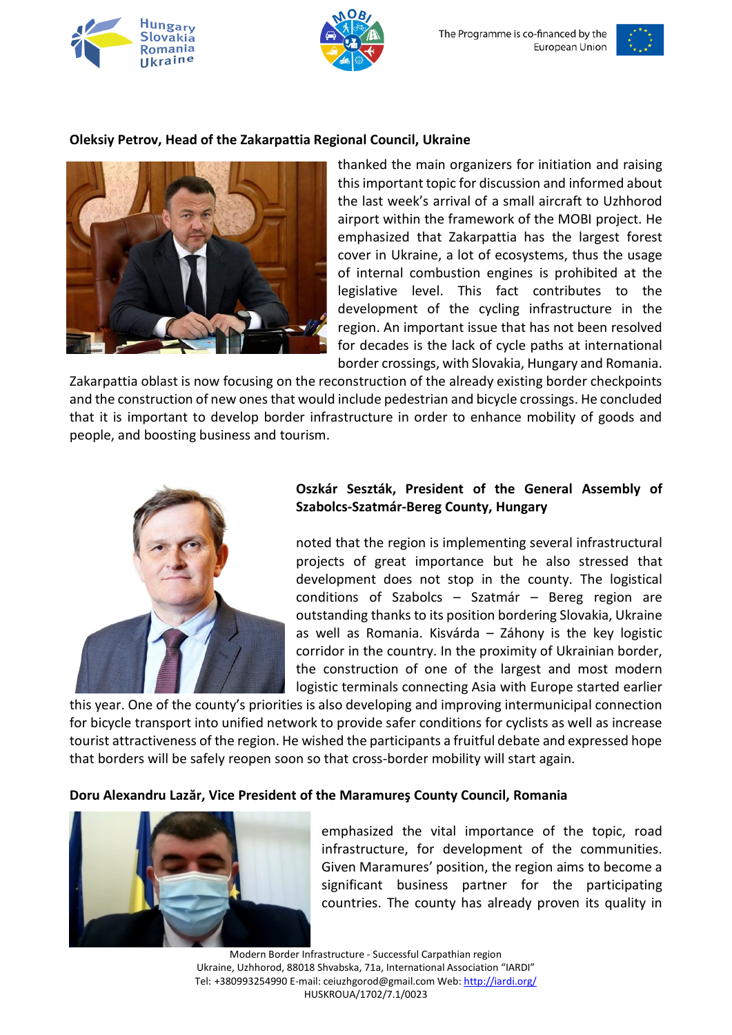





#### **Oleksiy Petrov, Head of the Zakarpattia Regional Council, Ukraine**



thanked the main organizers for initiation and raising this important topic for discussion and informed about the last week's arrival of a small aircraft to Uzhhorod airport within the framework of the MOBI project. He emphasized that Zakarpattia has the largest forest cover in Ukraine, a lot of ecosystems, thus the usage of internal combustion engines is prohibited at the legislative level. This fact contributes to the development of the cycling infrastructure in the region. An important issue that has not been resolved for decades is the lack of cycle paths at international border crossings, with Slovakia, Hungary and Romania.

Zakarpattia oblast is now focusing on the reconstruction of the already existing border checkpoints and the construction of new onesthat would include pedestrian and bicycle crossings. He concluded that it is important to develop border infrastructure in order to enhance mobility of goods and people, and boosting business and tourism.



#### **Oszkár Seszták, President of the General Assembly of Szabolcs-Szatmár-Bereg County, Hungary**

noted that the region is implementing several infrastructural projects of great importance but he also stressed that development does not stop in the county. The logistical conditions of Szabolcs – Szatmár – Bereg region are outstanding thanks to its position bordering Slovakia, Ukraine as well as Romania. Kisvárda – Záhony is the key logistic corridor in the country. In the proximity of Ukrainian border, the construction of one of the largest and most modern logistic terminals connecting Asia with Europe started earlier

this year. One of the county's priorities is also developing and improving intermunicipal connection for bicycle transport into unified network to provide safer conditions for cyclists as well as increase tourist attractiveness of the region. He wished the participants a fruitful debate and expressed hope that borders will be safely reopen soon so that cross-border mobility will start again.

#### **Doru Alexandru Lazăr, Vice President of the Maramureş County Council, Romania**



emphasized the vital importance of the topic, road infrastructure, for development of the communities. Given Maramures' position, the region aims to become a significant business partner for the participating countries. The county has already proven its quality in

Modern Border Infrastructure - Successful Carpathian region Ukraine, Uzhhorod, 88018 Shvabska, 71a, International Association "IARDI" Tel: +380993254990 E-mail: ceiuzhgorod@gmail.com Web[: http://iardi.org/](http://iardi.org/) HUSKROUA/1702/7.1/0023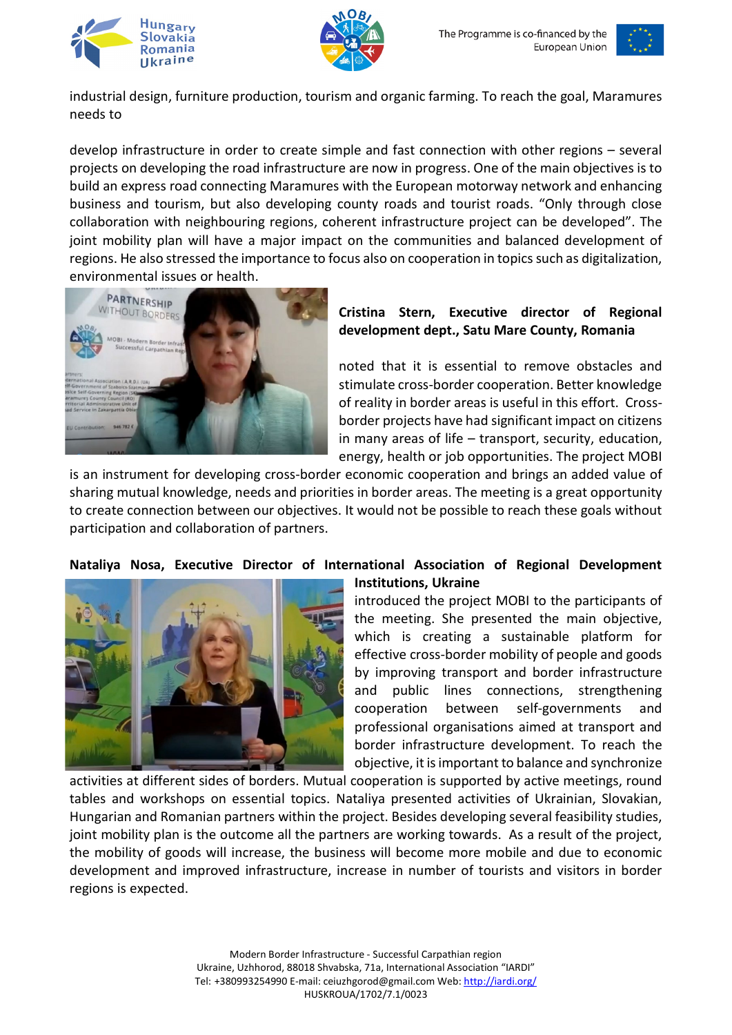





industrial design, furniture production, tourism and organic farming. To reach the goal, Maramures needs to

develop infrastructure in order to create simple and fast connection with other regions – several projects on developing the road infrastructure are now in progress. One of the main objectives is to build an express road connecting Maramures with the European motorway network and enhancing business and tourism, but also developing county roads and tourist roads. "Only through close collaboration with neighbouring regions, coherent infrastructure project can be developed". The joint mobility plan will have a major impact on the communities and balanced development of regions. He also stressed the importance to focus also on cooperation in topics such as digitalization, environmental issues or health.



## **Cristina Stern, Executive director of Regional development dept., Satu Mare County, Romania**

noted that it is essential to remove obstacles and stimulate cross-border cooperation. Better knowledge of reality in border areas is useful in this effort. Crossborder projects have had significant impact on citizens in many areas of life – transport, security, education, energy, health or job opportunities. The project MOBI

is an instrument for developing cross-border economic cooperation and brings an added value of sharing mutual knowledge, needs and priorities in border areas. The meeting is a great opportunity to create connection between our objectives. It would not be possible to reach these goals without participation and collaboration of partners.

# **Nataliya Nosa, Executive Director of International Association of Regional Development**



# **Institutions, Ukraine**

introduced the project MOBI to the participants of the meeting. She presented the main objective, which is creating a sustainable platform for effective cross-border mobility of people and goods by improving transport and border infrastructure and public lines connections, strengthening cooperation between self-governments and professional organisations aimed at transport and border infrastructure development. To reach the objective, it is important to balance and synchronize

activities at different sides of borders. Mutual cooperation is supported by active meetings, round tables and workshops on essential topics. Nataliya presented activities of Ukrainian, Slovakian, Hungarian and Romanian partners within the project. Besides developing several feasibility studies, joint mobility plan is the outcome all the partners are working towards. As a result of the project, the mobility of goods will increase, the business will become more mobile and due to economic development and improved infrastructure, increase in number of tourists and visitors in border regions is expected.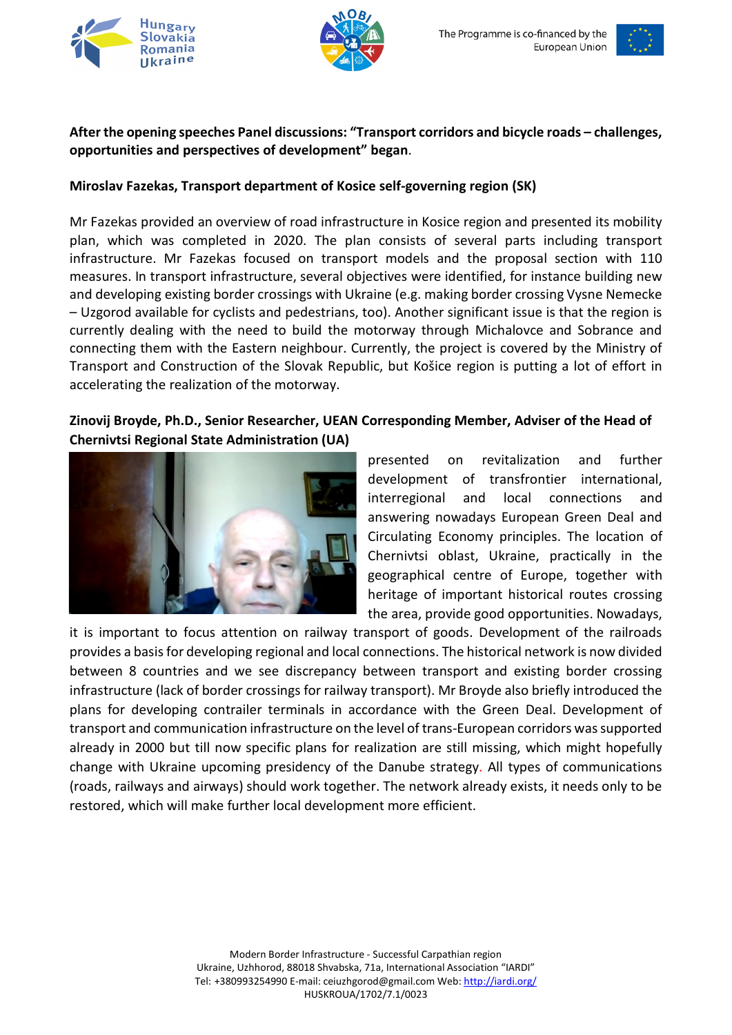





## **After the opening speeches Panel discussions: "Transport corridors and bicycle roads – challenges, opportunities and perspectives of development" began**.

## **Miroslav Fazekas, Transport department of Kosice self-governing region (SK)**

Mr Fazekas provided an overview of road infrastructure in Kosice region and presented its mobility plan, which was completed in 2020. The plan consists of several parts including transport infrastructure. Mr Fazekas focused on transport models and the proposal section with 110 measures. In transport infrastructure, several objectives were identified, for instance building new and developing existing border crossings with Ukraine (e.g. making border crossing Vysne Nemecke – Uzgorod available for cyclists and pedestrians, too). Another significant issue is that the region is currently dealing with the need to build the motorway through Michalovce and Sobrance and connecting them with the Eastern neighbour. Currently, the project is covered by the Ministry of Transport and Construction of the Slovak Republic, but Košice region is putting a lot of effort in accelerating the realization of the motorway.

# **Zinovij Broyde, Ph.D., Senior Researcher, UEAN Corresponding Member, Adviser of the Head of Chernivtsi Regional State Administration (UA)**



presented on revitalization and further development of transfrontier international, interregional and local connections and answering nowadays European Green Deal and Circulating Economy principles. The location of Chernivtsi oblast, Ukraine, practically in the geographical centre of Europe, together with heritage of important historical routes crossing the area, provide good opportunities. Nowadays,

it is important to focus attention on railway transport of goods. Development of the railroads provides a basis for developing regional and local connections. The historical network is now divided between 8 countries and we see discrepancy between transport and existing border crossing infrastructure (lack of border crossings for railway transport). Mr Broyde also briefly introduced the plans for developing contrailer terminals in accordance with the Green Deal. Development of transport and communication infrastructure on the level of trans-European corridors was supported already in 2000 but till now specific plans for realization are still missing, which might hopefully change with Ukraine upcoming presidency of the Danube strategy. All types of communications (roads, railways and airways) should work together. The network already exists, it needs only to be restored, which will make further local development more efficient.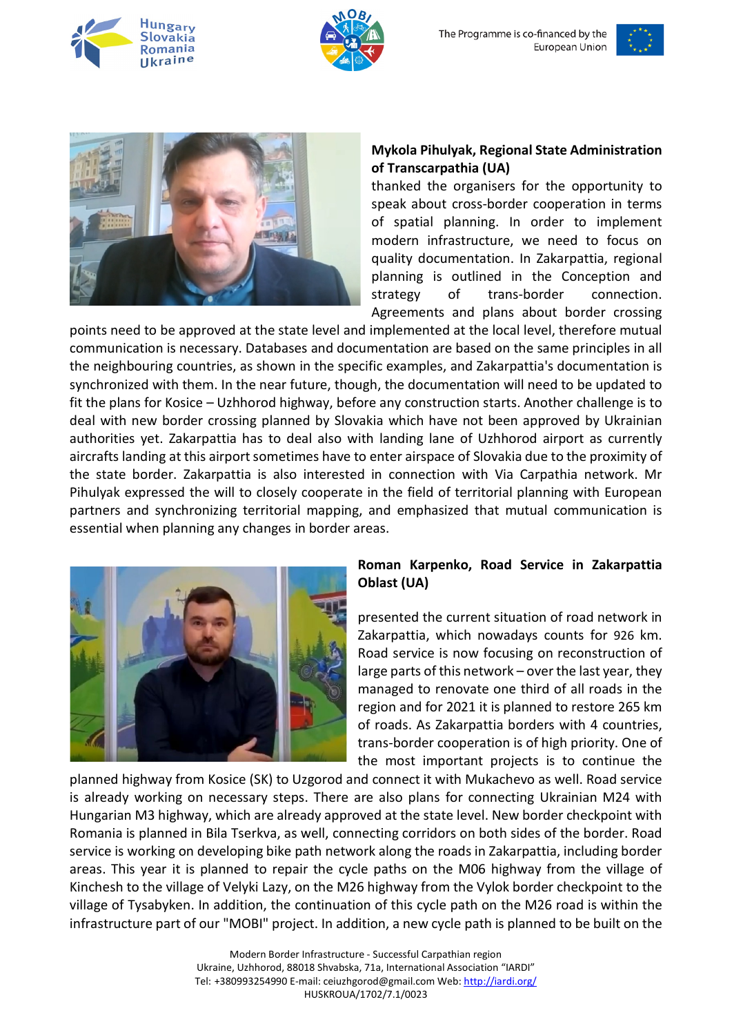







# **Mykola Pihulyak, Regional State Administration of Transcarpathia (UA)**

thanked the organisers for the opportunity to speak about cross-border cooperation in terms of spatial planning. In order to implement modern infrastructure, we need to focus on quality documentation. In Zakarpattia, regional planning is outlined in the Conception and strategy of trans-border connection. Agreements and plans about border crossing

points need to be approved at the state level and implemented at the local level, therefore mutual communication is necessary. Databases and documentation are based on the same principles in all the neighbouring countries, as shown in the specific examples, and Zakarpattia's documentation is synchronized with them. In the near future, though, the documentation will need to be updated to fit the plans for Kosice – Uzhhorod highway, before any construction starts. Another challenge is to deal with new border crossing planned by Slovakia which have not been approved by Ukrainian authorities yet. Zakarpattia has to deal also with landing lane of Uzhhorod airport as currently aircrafts landing at this airport sometimes have to enter airspace of Slovakia due to the proximity of the state border. Zakarpattia is also interested in connection with Via Carpathia network. Mr Pihulyak expressed the will to closely cooperate in the field of territorial planning with European partners and synchronizing territorial mapping, and emphasized that mutual communication is essential when planning any changes in border areas.



## **Roman Karpenko, Road Service in Zakarpattia Oblast (UA)**

presented the current situation of road network in Zakarpattia, which nowadays counts for 926 km. Road service is now focusing on reconstruction of large parts of this network – over the last year, they managed to renovate one third of all roads in the region and for 2021 it is planned to restore 265 km of roads. As Zakarpattia borders with 4 countries, trans-border cooperation is of high priority. One of the most important projects is to continue the

planned highway from Kosice (SK) to Uzgorod and connect it with Mukachevo as well. Road service is already working on necessary steps. There are also plans for connecting Ukrainian M24 with Hungarian M3 highway, which are already approved at the state level. New border checkpoint with Romania is planned in Bila Tserkva, as well, connecting corridors on both sides of the border. Road service is working on developing bike path network along the roads in Zakarpattia, including border areas. This year it is planned to repair the cycle paths on the M06 highway from the village of Kinchesh to the village of Velyki Lazy, on the M26 highway from the Vylok border checkpoint to the village of Tysabyken. In addition, the continuation of this cycle path on the M26 road is within the infrastructure part of our "MOBI" project. In addition, a new cycle path is planned to be built on the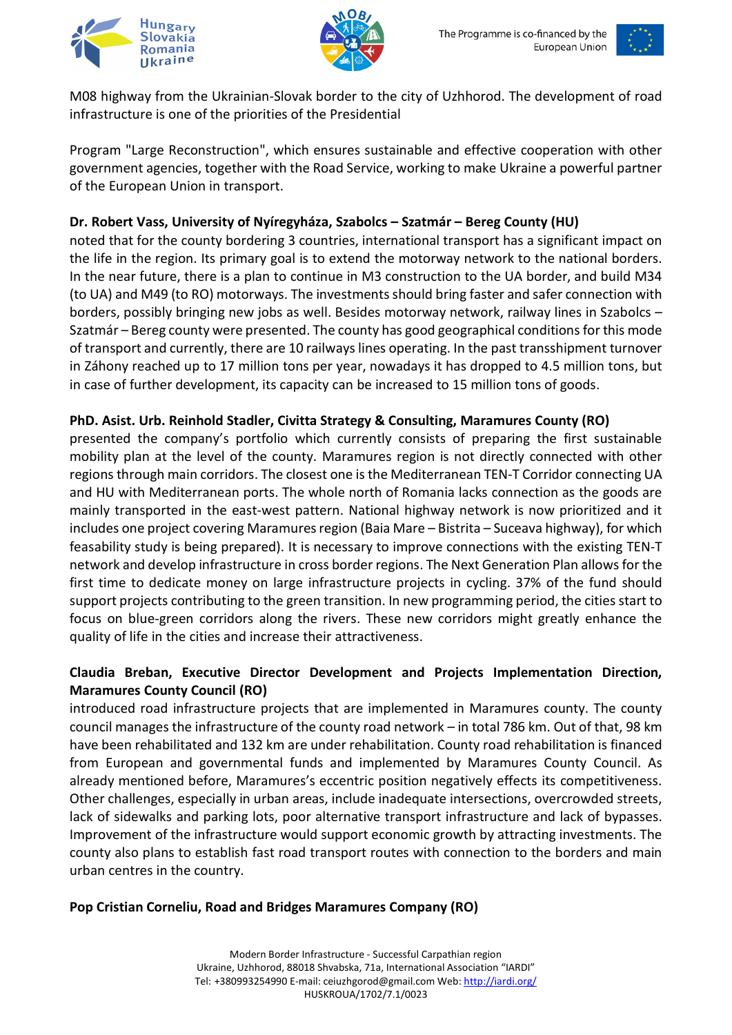





M08 highway from the Ukrainian-Slovak border to the city of Uzhhorod. The development of road infrastructure is one of the priorities of the Presidential

Program "Large Reconstruction", which ensures sustainable and effective cooperation with other government agencies, together with the Road Service, working to make Ukraine a powerful partner of the European Union in transport.

# **Dr. Robert Vass, University of Nyíregyháza, Szabolcs – Szatmár – Bereg County (HU)**

noted that for the county bordering 3 countries, international transport has a significant impact on the life in the region. Its primary goal is to extend the motorway network to the national borders. In the near future, there is a plan to continue in M3 construction to the UA border, and build M34 (to UA) and M49 (to RO) motorways. The investments should bring faster and safer connection with borders, possibly bringing new jobs as well. Besides motorway network, railway lines in Szabolcs – Szatmár – Bereg county were presented. The county has good geographical conditions for this mode of transport and currently, there are 10 railways lines operating. In the past transshipment turnover in Záhony reached up to 17 million tons per year, nowadays it has dropped to 4.5 million tons, but in case of further development, its capacity can be increased to 15 million tons of goods.

# **PhD. Asist. Urb. Reinhold Stadler, Civitta Strategy & Consulting, Maramures County (RO)**

presented the company's portfolio which currently consists of preparing the first sustainable mobility plan at the level of the county. Maramures region is not directly connected with other regions through main corridors. The closest one is the Mediterranean TEN-T Corridor connecting UA and HU with Mediterranean ports. The whole north of Romania lacks connection as the goods are mainly transported in the east-west pattern. National highway network is now prioritized and it includes one project covering Maramures region (Baia Mare – Bistrita – Suceava highway), for which feasability study is being prepared). It is necessary to improve connections with the existing TEN-T network and develop infrastructure in cross border regions. The Next Generation Plan allows for the first time to dedicate money on large infrastructure projects in cycling. 37% of the fund should support projects contributing to the green transition. In new programming period, the cities start to focus on blue-green corridors along the rivers. These new corridors might greatly enhance the quality of life in the cities and increase their attractiveness.

# **Claudia Breban, Executive Director Development and Projects Implementation Direction, Maramures County Council (RO)**

introduced road infrastructure projects that are implemented in Maramures county. The county council manages the infrastructure of the county road network – in total 786 km. Out of that, 98 km have been rehabilitated and 132 km are under rehabilitation. County road rehabilitation is financed from European and governmental funds and implemented by Maramures County Council. As already mentioned before, Maramures's eccentric position negatively effects its competitiveness. Other challenges, especially in urban areas, include inadequate intersections, overcrowded streets, lack of sidewalks and parking lots, poor alternative transport infrastructure and lack of bypasses. Improvement of the infrastructure would support economic growth by attracting investments. The county also plans to establish fast road transport routes with connection to the borders and main urban centres in the country.

#### **Pop Cristian Corneliu, Road and Bridges Maramures Company (RO)**

Modern Border Infrastructure - Successful Carpathian region Ukraine, Uzhhorod, 88018 Shvabska, 71a, International Association "IARDI" Tel: +380993254990 E-mail: ceiuzhgorod@gmail.com Web[: http://iardi.org/](http://iardi.org/) HUSKROUA/1702/7.1/0023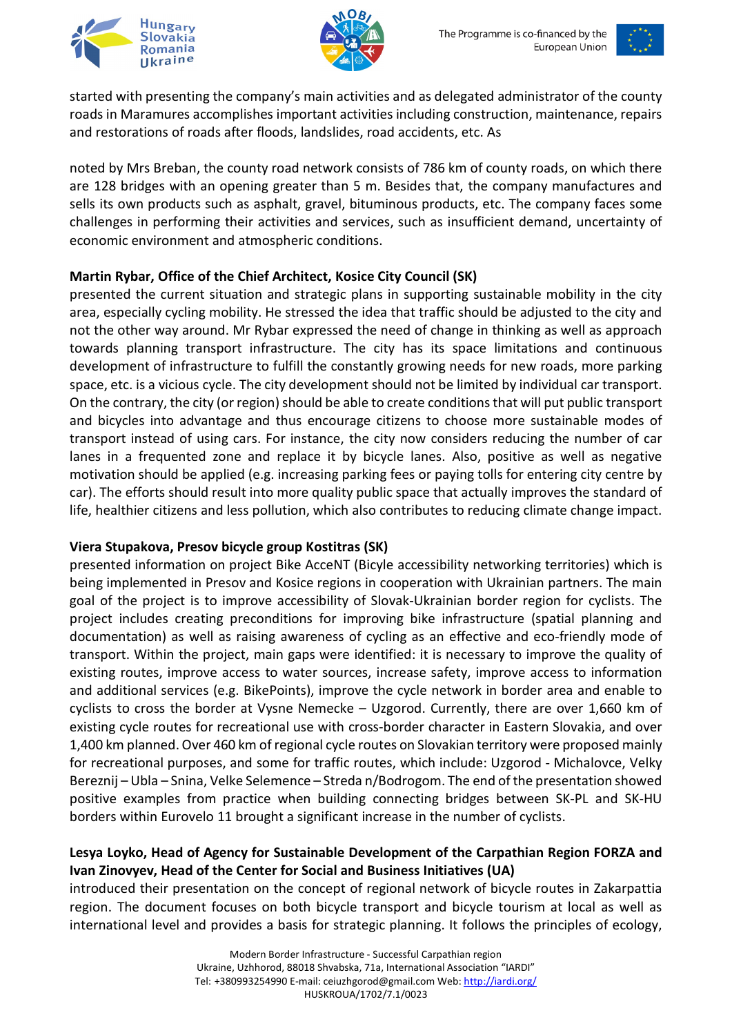





started with presenting the company's main activities and as delegated administrator of the county roads in Maramures accomplishes important activities including construction, maintenance, repairs and restorations of roads after floods, landslides, road accidents, etc. As

noted by Mrs Breban, the county road network consists of 786 km of county roads, on which there are 128 bridges with an opening greater than 5 m. Besides that, the company manufactures and sells its own products such as asphalt, gravel, bituminous products, etc. The company faces some challenges in performing their activities and services, such as insufficient demand, uncertainty of economic environment and atmospheric conditions.

## **Martin Rybar, Office of the Chief Architect, Kosice City Council (SK)**

presented the current situation and strategic plans in supporting sustainable mobility in the city area, especially cycling mobility. He stressed the idea that traffic should be adjusted to the city and not the other way around. Mr Rybar expressed the need of change in thinking as well as approach towards planning transport infrastructure. The city has its space limitations and continuous development of infrastructure to fulfill the constantly growing needs for new roads, more parking space, etc. is a vicious cycle. The city development should not be limited by individual car transport. On the contrary, the city (or region) should be able to create conditions that will put public transport and bicycles into advantage and thus encourage citizens to choose more sustainable modes of transport instead of using cars. For instance, the city now considers reducing the number of car lanes in a frequented zone and replace it by bicycle lanes. Also, positive as well as negative motivation should be applied (e.g. increasing parking fees or paying tolls for entering city centre by car). The efforts should result into more quality public space that actually improves the standard of life, healthier citizens and less pollution, which also contributes to reducing climate change impact.

# **Viera Stupakova, Presov bicycle group Kostitras (SK)**

presented information on project Bike AcceNT (Bicyle accessibility networking territories) which is being implemented in Presov and Kosice regions in cooperation with Ukrainian partners. The main goal of the project is to improve accessibility of Slovak-Ukrainian border region for cyclists. The project includes creating preconditions for improving bike infrastructure (spatial planning and documentation) as well as raising awareness of cycling as an effective and eco-friendly mode of transport. Within the project, main gaps were identified: it is necessary to improve the quality of existing routes, improve access to water sources, increase safety, improve access to information and additional services (e.g. BikePoints), improve the cycle network in border area and enable to cyclists to cross the border at Vysne Nemecke – Uzgorod. Currently, there are over 1,660 km of existing cycle routes for recreational use with cross-border character in Eastern Slovakia, and over 1,400 km planned. Over 460 km of regional cycle routes on Slovakian territory were proposed mainly for recreational purposes, and some for traffic routes, which include: Uzgorod - Michalovce, Velky Bereznij – Ubla – Snina, Velke Selemence – Streda n/Bodrogom. The end of the presentation showed positive examples from practice when building connecting bridges between SK-PL and SK-HU borders within Eurovelo 11 brought a significant increase in the number of cyclists.

# **Lesya Loyko, Head of Agency for Sustainable Development of the Carpathian Region FORZA and Ivan Zinovyev, Head of the Center for Social and Business Initiatives (UA)**

introduced their presentation on the concept of regional network of bicycle routes in Zakarpattia region. The document focuses on both bicycle transport and bicycle tourism at local as well as international level and provides a basis for strategic planning. It follows the principles of ecology,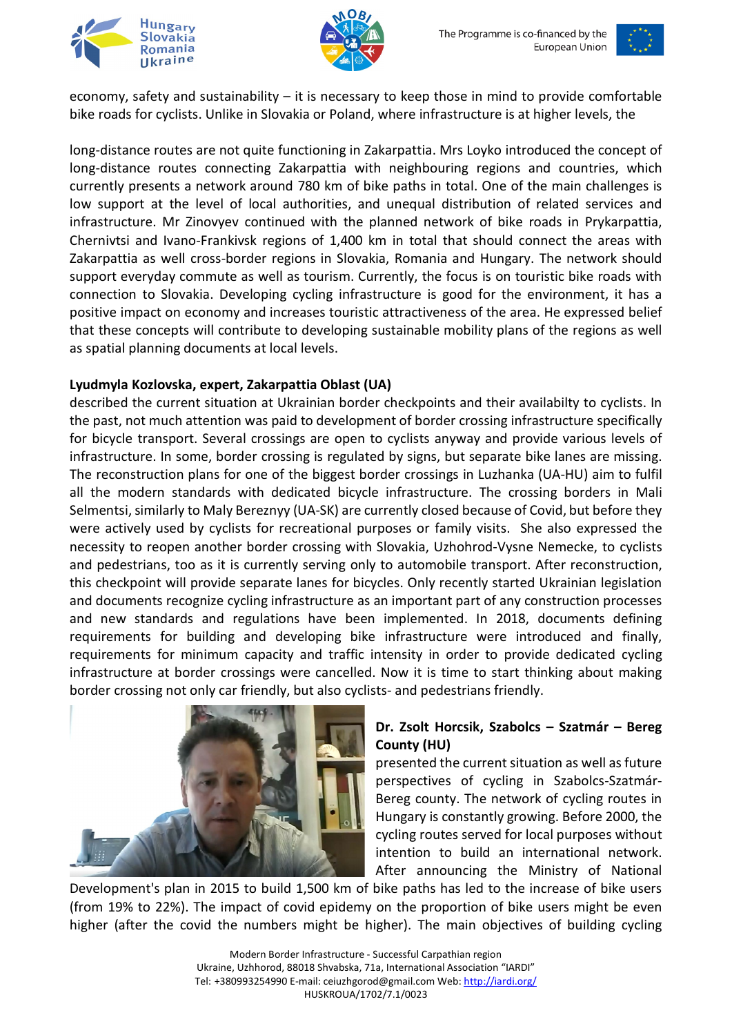





economy, safety and sustainability – it is necessary to keep those in mind to provide comfortable bike roads for cyclists. Unlike in Slovakia or Poland, where infrastructure is at higher levels, the

long-distance routes are not quite functioning in Zakarpattia. Mrs Loyko introduced the concept of long-distance routes connecting Zakarpattia with neighbouring regions and countries, which currently presents a network around 780 km of bike paths in total. One of the main challenges is low support at the level of local authorities, and unequal distribution of related services and infrastructure. Mr Zinovyev continued with the planned network of bike roads in Prykarpattia, Chernivtsi and Ivano-Frankivsk regions of 1,400 km in total that should connect the areas with Zakarpattia as well cross-border regions in Slovakia, Romania and Hungary. The network should support everyday commute as well as tourism. Currently, the focus is on touristic bike roads with connection to Slovakia. Developing cycling infrastructure is good for the environment, it has a positive impact on economy and increases touristic attractiveness of the area. He expressed belief that these concepts will contribute to developing sustainable mobility plans of the regions as well as spatial planning documents at local levels.

## **Lyudmyla Kozlovska, expert, Zakarpattia Oblast (UA)**

described the current situation at Ukrainian border checkpoints and their availabilty to cyclists. In the past, not much attention was paid to development of border crossing infrastructure specifically for bicycle transport. Several crossings are open to cyclists anyway and provide various levels of infrastructure. In some, border crossing is regulated by signs, but separate bike lanes are missing. The reconstruction plans for one of the biggest border crossings in Luzhanka (UA-HU) aim to fulfil all the modern standards with dedicated bicycle infrastructure. The crossing borders in Mali Selmentsi, similarly to Maly Bereznyy (UA-SK) are currently closed because of Covid, but before they were actively used by cyclists for recreational purposes or family visits. She also expressed the necessity to reopen another border crossing with Slovakia, Uzhohrod-Vysne Nemecke, to cyclists and pedestrians, too as it is currently serving only to automobile transport. After reconstruction, this checkpoint will provide separate lanes for bicycles. Only recently started Ukrainian legislation and documents recognize cycling infrastructure as an important part of any construction processes and new standards and regulations have been implemented. In 2018, documents defining requirements for building and developing bike infrastructure were introduced and finally, requirements for minimum capacity and traffic intensity in order to provide dedicated cycling infrastructure at border crossings were cancelled. Now it is time to start thinking about making border crossing not only car friendly, but also cyclists- and pedestrians friendly.



#### **Dr. Zsolt Horcsik, Szabolcs – Szatmár – Bereg County (HU)**

presented the current situation as well as future perspectives of cycling in Szabolcs-Szatmár-Bereg county. The network of cycling routes in Hungary is constantly growing. Before 2000, the cycling routes served for local purposes without intention to build an international network. After announcing the Ministry of National

Development's plan in 2015 to build 1,500 km of bike paths has led to the increase of bike users (from 19% to 22%). The impact of covid epidemy on the proportion of bike users might be even higher (after the covid the numbers might be higher). The main objectives of building cycling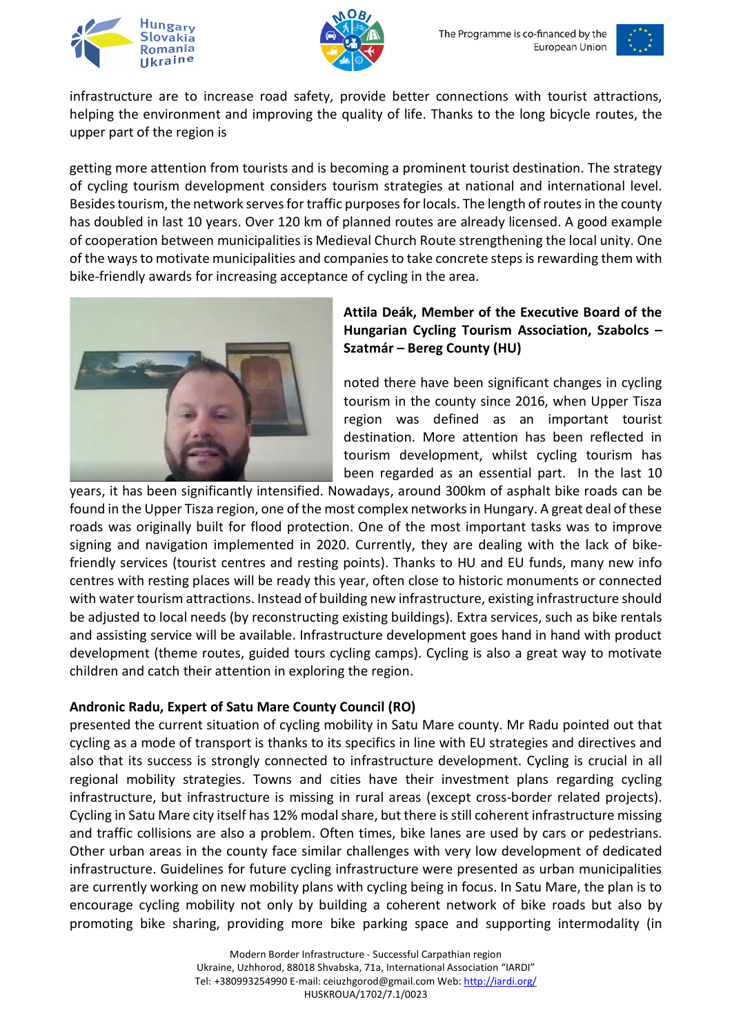





infrastructure are to increase road safety, provide better connections with tourist attractions, helping the environment and improving the quality of life. Thanks to the long bicycle routes, the upper part of the region is

getting more attention from tourists and is becoming a prominent tourist destination. The strategy of cycling tourism development considers tourism strategies at national and international level. Besides tourism, the network serves for traffic purposes for locals. The length of routes in the county has doubled in last 10 years. Over 120 km of planned routes are already licensed. A good example of cooperation between municipalities is Medieval Church Route strengthening the local unity. One of the waysto motivate municipalities and companies to take concrete steps is rewarding them with bike-friendly awards for increasing acceptance of cycling in the area.



## **Attila Deák, Member of the Executive Board of the Hungarian Cycling Tourism Association, Szabolcs – Szatmár – Bereg County (HU)**

noted there have been significant changes in cycling tourism in the county since 2016, when Upper Tisza region was defined as an important tourist destination. More attention has been reflected in tourism development, whilst cycling tourism has been regarded as an essential part. In the last 10

years, it has been significantly intensified. Nowadays, around 300km of asphalt bike roads can be found in the Upper Tisza region, one of the most complex networks in Hungary. A great deal of these roads was originally built for flood protection. One of the most important tasks was to improve signing and navigation implemented in 2020. Currently, they are dealing with the lack of bikefriendly services (tourist centres and resting points). Thanks to HU and EU funds, many new info centres with resting places will be ready this year, often close to historic monuments or connected with water tourism attractions. Instead of building new infrastructure, existing infrastructure should be adjusted to local needs (by reconstructing existing buildings). Extra services, such as bike rentals and assisting service will be available. Infrastructure development goes hand in hand with product development (theme routes, guided tours cycling camps). Cycling is also a great way to motivate children and catch their attention in exploring the region.

# **Andronic Radu, Expert of Satu Mare County Council (RO)**

presented the current situation of cycling mobility in Satu Mare county. Mr Radu pointed out that cycling as a mode of transport is thanks to its specifics in line with EU strategies and directives and also that its success is strongly connected to infrastructure development. Cycling is crucial in all regional mobility strategies. Towns and cities have their investment plans regarding cycling infrastructure, but infrastructure is missing in rural areas (except cross-border related projects). Cycling in Satu Mare city itself has 12% modal share, but there is still coherent infrastructure missing and traffic collisions are also a problem. Often times, bike lanes are used by cars or pedestrians. Other urban areas in the county face similar challenges with very low development of dedicated infrastructure. Guidelines for future cycling infrastructure were presented as urban municipalities are currently working on new mobility plans with cycling being in focus. In Satu Mare, the plan is to encourage cycling mobility not only by building a coherent network of bike roads but also by promoting bike sharing, providing more bike parking space and supporting intermodality (in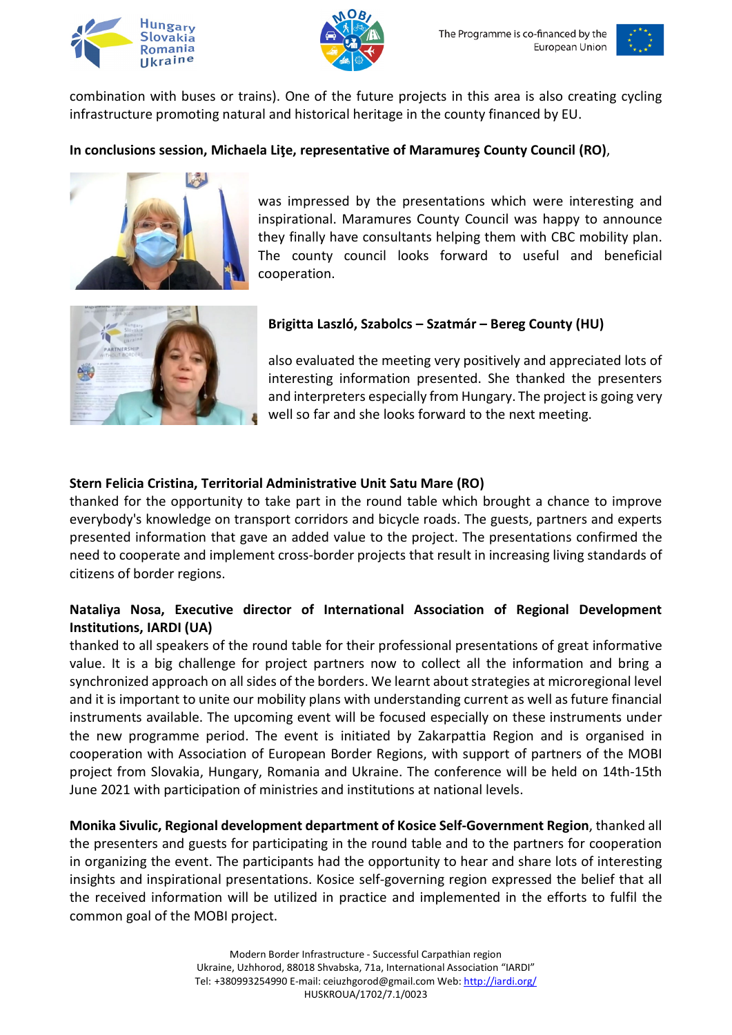





combination with buses or trains). One of the future projects in this area is also creating cycling infrastructure promoting natural and historical heritage in the county financed by EU.

## **In conclusions session, Michaela Liţe, representative of Maramureş County Council (RO)**,



was impressed by the presentations which were interesting and inspirational. Maramures County Council was happy to announce they finally have consultants helping them with CBC mobility plan. The county council looks forward to useful and beneficial cooperation.



#### **Brigitta Laszló, Szabolcs – Szatmár – Bereg County (HU)**

also evaluated the meeting very positively and appreciated lots of interesting information presented. She thanked the presenters and interpreters especially from Hungary. The project is going very well so far and she looks forward to the next meeting.

#### **Stern Felicia Cristina, Territorial Administrative Unit Satu Mare (RO)**

thanked for the opportunity to take part in the round table which brought a chance to improve everybody's knowledge on transport corridors and bicycle roads. The guests, partners and experts presented information that gave an added value to the project. The presentations confirmed the need to cooperate and implement cross-border projects that result in increasing living standards of citizens of border regions.

#### **Nataliya Nosa, Executive director of International Association of Regional Development Institutions, IARDI (UA)**

thanked to all speakers of the round table for their professional presentations of great informative value. It is a big challenge for project partners now to collect all the information and bring a synchronized approach on all sides of the borders. We learnt about strategies at microregional level and it is important to unite our mobility plans with understanding current as well as future financial instruments available. The upcoming event will be focused especially on these instruments under the new programme period. The event is initiated by Zakarpattia Region and is organised in cooperation with Association of European Border Regions, with support of partners of the MOBI project from Slovakia, Hungary, Romania and Ukraine. The conference will be held on 14th-15th June 2021 with participation of ministries and institutions at national levels.

**Monika Sivulic, Regional development department of Kosice Self-Government Region**, thanked all the presenters and guests for participating in the round table and to the partners for cooperation in organizing the event. The participants had the opportunity to hear and share lots of interesting insights and inspirational presentations. Kosice self-governing region expressed the belief that all the received information will be utilized in practice and implemented in the efforts to fulfil the common goal of the MOBI project.